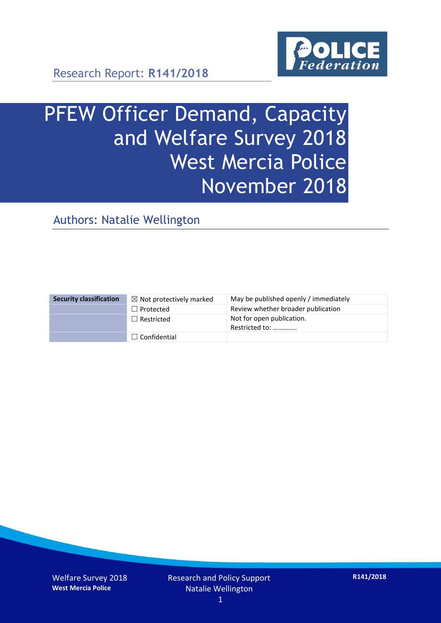

Research Report: **R141/2018**

# PFEW Officer Demand, Capacity and Welfare Survey 2018 West Mercia Police November 2018

Authors: Natalie Wellington

| <b>Security classification</b> | $\boxtimes$ Not protectively marked | May be published openly / immediately       |
|--------------------------------|-------------------------------------|---------------------------------------------|
|                                | $\Box$ Protected                    | Review whether broader publication          |
|                                | $\Box$ Restricted                   | Not for open publication.<br>Restricted to: |
|                                | $\Box$ Confidential                 |                                             |

Welfare Survey 2018 **West Mercia Police**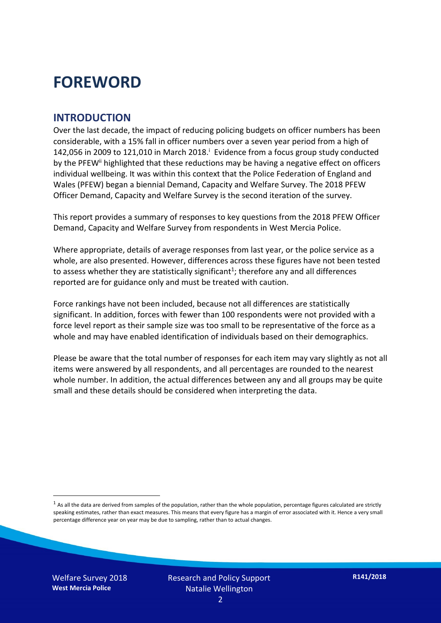### **FOREWORD**

#### **INTRODUCTION**

Over the last decade, the impact of reducing policing budgets on officer numbers has been considerable, with a 15% fall in officer numbers over a seven year period from a high of 142,056 in 2009 to 121,010 in March 2018. $^{\mathrm{i}}$  Evidence from a focus group study conducted by the PFEW<sup>ii</sup> highlighted that these reductions may be having a negative effect on officers individual wellbeing. It was within this context that the Police Federation of England and Wales (PFEW) began a biennial Demand, Capacity and Welfare Survey. The 2018 PFEW Officer Demand, Capacity and Welfare Survey is the second iteration of the survey.

This report provides a summary of responses to key questions from the 2018 PFEW Officer Demand, Capacity and Welfare Survey from respondents in West Mercia Police.

Where appropriate, details of average responses from last year, or the police service as a whole, are also presented. However, differences across these figures have not been tested to assess whether they are statistically significant<sup>1</sup>; therefore any and all differences reported are for guidance only and must be treated with caution.

Force rankings have not been included, because not all differences are statistically significant. In addition, forces with fewer than 100 respondents were not provided with a force level report as their sample size was too small to be representative of the force as a whole and may have enabled identification of individuals based on their demographics.

Please be aware that the total number of responses for each item may vary slightly as not all items were answered by all respondents, and all percentages are rounded to the nearest whole number. In addition, the actual differences between any and all groups may be quite small and these details should be considered when interpreting the data.

Welfare Survey 2018 **West Mercia Police**

-

 $<sup>1</sup>$  As all the data are derived from samples of the population, rather than the whole population, percentage figures calculated are strictly</sup> speaking estimates, rather than exact measures. This means that every figure has a margin of error associated with it. Hence a very small percentage difference year on year may be due to sampling, rather than to actual changes.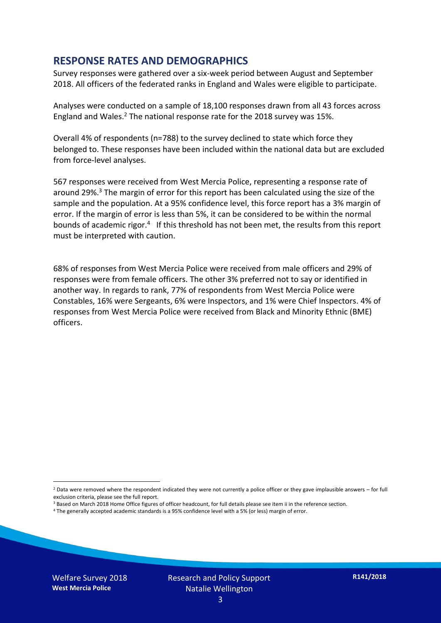#### **RESPONSE RATES AND DEMOGRAPHICS**

Survey responses were gathered over a six-week period between August and September 2018. All officers of the federated ranks in England and Wales were eligible to participate.

Analyses were conducted on a sample of 18,100 responses drawn from all 43 forces across England and Wales.<sup>2</sup> The national response rate for the 2018 survey was 15%.

Overall 4% of respondents (n=788) to the survey declined to state which force they belonged to. These responses have been included within the national data but are excluded from force-level analyses.

567 responses were received from West Mercia Police, representing a response rate of around 29%. <sup>3</sup> The margin of error for this report has been calculated using the size of the sample and the population. At a 95% confidence level, this force report has a 3% margin of error. If the margin of error is less than 5%, it can be considered to be within the normal bounds of academic rigor.<sup>4</sup> If this threshold has not been met, the results from this report must be interpreted with caution.

68% of responses from West Mercia Police were received from male officers and 29% of responses were from female officers. The other 3% preferred not to say or identified in another way. In regards to rank, 77% of respondents from West Mercia Police were Constables, 16% were Sergeants, 6% were Inspectors, and 1% were Chief Inspectors. 4% of responses from West Mercia Police were received from Black and Minority Ethnic (BME) officers.

-

 $2$  Data were removed where the respondent indicated they were not currently a police officer or they gave implausible answers – for full exclusion criteria, please see the full report.

<sup>3</sup> Based on March 2018 Home Office figures of officer headcount, for full details please see item ii in the reference section.

<sup>4</sup> The generally accepted academic standards is a 95% confidence level with a 5% (or less) margin of error.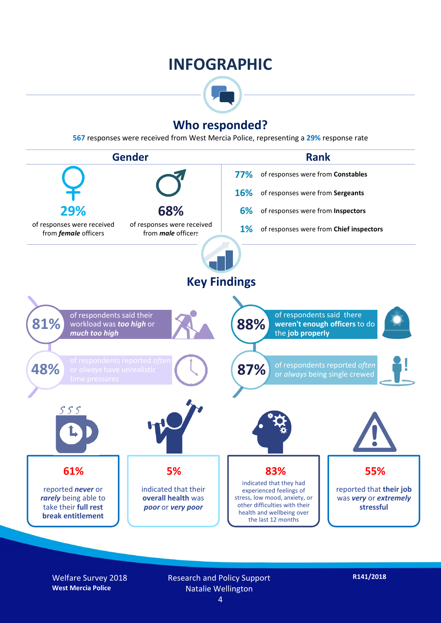### **INFOGRAPHIC**



#### **Who responded?**

**567** responses were received from West Mercia Police, representing a **29%** response rate



Welfare Survey 2018 **West Mercia Police**

Research and Policy Support Natalie Wellington 4

**R141/2018**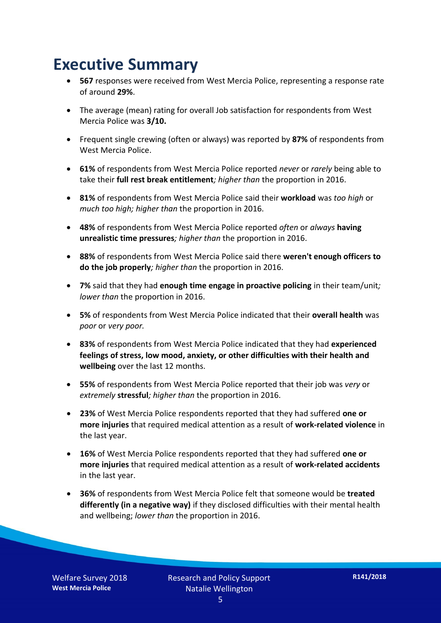### **Executive Summary**

- **567** responses were received from West Mercia Police, representing a response rate of around **29%**.
- The average (mean) rating for overall Job satisfaction for respondents from West Mercia Police was **3/10.**
- Frequent single crewing (often or always) was reported by **87%** of respondents from West Mercia Police.
- **61%** of respondents from West Mercia Police reported *never* or *rarely* being able to take their **full rest break entitlement***; higher than* the proportion in 2016.
- **81%** of respondents from West Mercia Police said their **workload** was *too high* or *much too high; higher than* the proportion in 2016.
- **48%** of respondents from West Mercia Police reported *often* or *always* **having unrealistic time pressures***; higher than* the proportion in 2016.
- **88%** of respondents from West Mercia Police said there **weren't enough officers to do the job properly***; higher than* the proportion in 2016.
- **7%** said that they had **enough time engage in proactive policing** in their team/unit*; lower than* the proportion in 2016.
- **5%** of respondents from West Mercia Police indicated that their **overall health** was *poor* or *very poor.*
- **83%** of respondents from West Mercia Police indicated that they had **experienced feelings of stress, low mood, anxiety, or other difficulties with their health and wellbeing** over the last 12 months.
- **55%** of respondents from West Mercia Police reported that their job was *very* or *extremely* **stressful***; higher than* the proportion in 2016.
- **23%** of West Mercia Police respondents reported that they had suffered **one or more injuries** that required medical attention as a result of **work-related violence** in the last year.
- **16%** of West Mercia Police respondents reported that they had suffered **one or more injuries** that required medical attention as a result of **work-related accidents**  in the last year.
- **36%** of respondents from West Mercia Police felt that someone would be **treated differently (in a negative way)** if they disclosed difficulties with their mental health and wellbeing; *lower than* the proportion in 2016.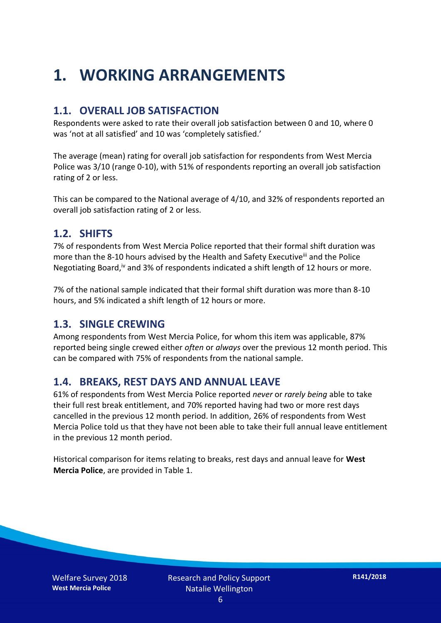## **1. WORKING ARRANGEMENTS**

#### **1.1. OVERALL JOB SATISFACTION**

Respondents were asked to rate their overall job satisfaction between 0 and 10, where 0 was 'not at all satisfied' and 10 was 'completely satisfied.'

The average (mean) rating for overall job satisfaction for respondents from West Mercia Police was 3/10 (range 0-10), with 51% of respondents reporting an overall job satisfaction rating of 2 or less.

This can be compared to the National average of 4/10, and 32% of respondents reported an overall job satisfaction rating of 2 or less.

#### **1.2. SHIFTS**

7% of respondents from West Mercia Police reported that their formal shift duration was more than the 8-10 hours advised by the Health and Safety Executive<sup>iii</sup> and the Police Negotiating Board,<sup>iv</sup> and 3% of respondents indicated a shift length of 12 hours or more.

7% of the national sample indicated that their formal shift duration was more than 8-10 hours, and 5% indicated a shift length of 12 hours or more.

#### **1.3. SINGLE CREWING**

Among respondents from West Mercia Police, for whom this item was applicable, 87% reported being single crewed either *often* or *always* over the previous 12 month period. This can be compared with 75% of respondents from the national sample.

#### **1.4. BREAKS, REST DAYS AND ANNUAL LEAVE**

61% of respondents from West Mercia Police reported *never* or *rarely being* able to take their full rest break entitlement, and 70% reported having had two or more rest days cancelled in the previous 12 month period. In addition, 26% of respondents from West Mercia Police told us that they have not been able to take their full annual leave entitlement in the previous 12 month period.

Historical comparison for items relating to breaks, rest days and annual leave for **West Mercia Police**, are provided in Table 1.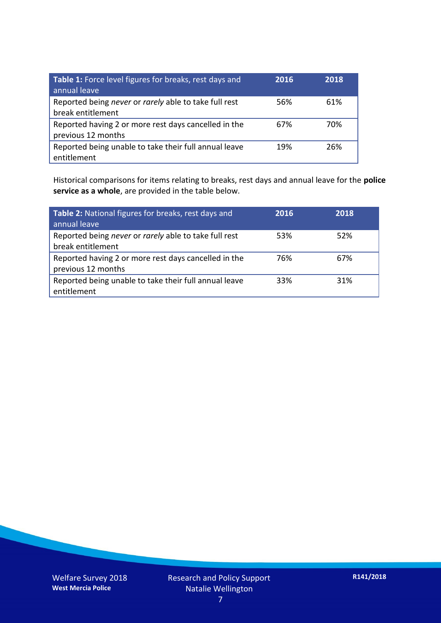| Table 1: Force level figures for breaks, rest days and<br>annual leave     | 2016 | 2018 |
|----------------------------------------------------------------------------|------|------|
| Reported being never or rarely able to take full rest<br>break entitlement | 56%  | 61%  |
| Reported having 2 or more rest days cancelled in the<br>previous 12 months | 67%  | 70%  |
| Reported being unable to take their full annual leave<br>entitlement       | 19%  | 26%  |

Historical comparisons for items relating to breaks, rest days and annual leave for the **police service as a whole**, are provided in the table below.

| Table 2: National figures for breaks, rest days and<br>annual leave        | 2016 | 2018 |
|----------------------------------------------------------------------------|------|------|
| Reported being never or rarely able to take full rest<br>break entitlement | 53%  | 52%  |
| Reported having 2 or more rest days cancelled in the<br>previous 12 months | 76%  | 67%  |
| Reported being unable to take their full annual leave<br>entitlement       | 33%  | 31%  |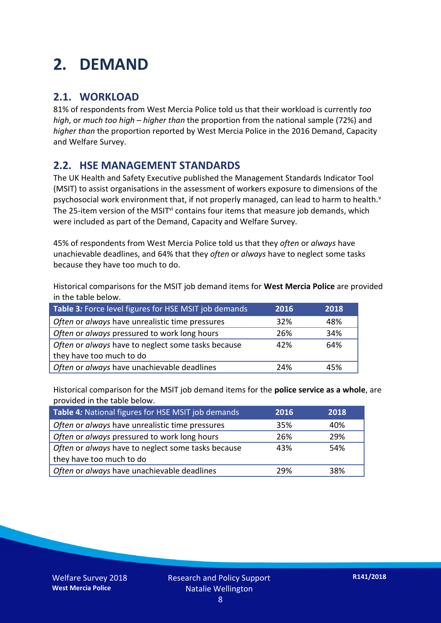## **2. DEMAND**

#### **2.1. WORKLOAD**

81% of respondents from West Mercia Police told us that their workload is currently *too high*, or *much too high* – *higher than* the proportion from the national sample (72%) and *higher than* the proportion reported by West Mercia Police in the 2016 Demand, Capacity and Welfare Survey.

#### **2.2. HSE MANAGEMENT STANDARDS**

The UK Health and Safety Executive published the Management Standards Indicator Tool (MSIT) to assist organisations in the assessment of workers exposure to dimensions of the psychosocial work environment that, if not properly managed, can lead to harm to health.<sup>v</sup> The 25-item version of the MSIT<sup>vi</sup> contains four items that measure job demands, which were included as part of the Demand, Capacity and Welfare Survey.

45% of respondents from West Mercia Police told us that they *often* or *always* have unachievable deadlines, and 64% that they *often* or *always* have to neglect some tasks because they have too much to do.

Historical comparisons for the MSIT job demand items for **West Mercia Police** are provided in the table below.

| Table 3: Force level figures for HSE MSIT job demands | 2016 | 2018 |
|-------------------------------------------------------|------|------|
| Often or always have unrealistic time pressures       | 32%  | 48%  |
| Often or always pressured to work long hours          | 26%  | 34%  |
| Often or always have to neglect some tasks because    | 42%  | 64%  |
| they have too much to do                              |      |      |
| Often or always have unachievable deadlines           | 24%  | 45%  |

Historical comparison for the MSIT job demand items for the **police service as a whole**, are provided in the table below.

| Table 4: National figures for HSE MSIT job demands | 2016 | 2018 |
|----------------------------------------------------|------|------|
| Often or always have unrealistic time pressures    | 35%  | 40%  |
| Often or always pressured to work long hours       | 26%  | 29%  |
| Often or always have to neglect some tasks because | 43%  | 54%  |
| they have too much to do                           |      |      |
| Often or always have unachievable deadlines        | 29%  | 38%  |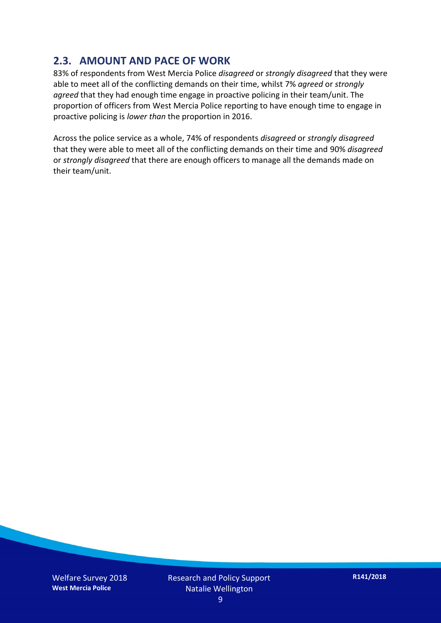#### **2.3. AMOUNT AND PACE OF WORK**

83% of respondents from West Mercia Police *disagreed* or *strongly disagreed* that they were able to meet all of the conflicting demands on their time, whilst 7% *agreed* or *strongly agreed* that they had enough time engage in proactive policing in their team/unit. The proportion of officers from West Mercia Police reporting to have enough time to engage in proactive policing is *lower than* the proportion in 2016.

Across the police service as a whole, 74% of respondents *disagreed* or *strongly disagreed* that they were able to meet all of the conflicting demands on their time and 90% *disagreed* or *strongly disagreed* that there are enough officers to manage all the demands made on their team/unit.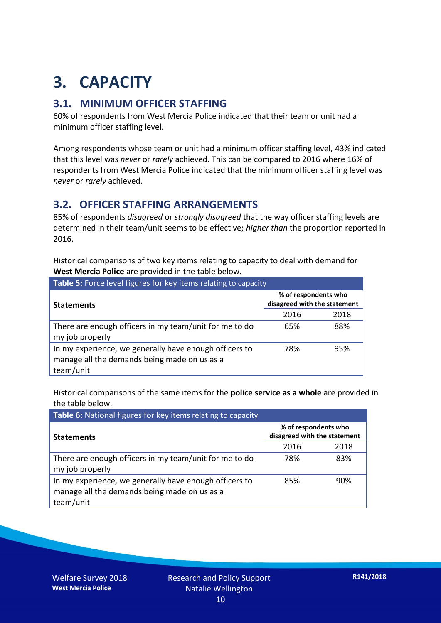## **3. CAPACITY**

#### **3.1. MINIMUM OFFICER STAFFING**

60% of respondents from West Mercia Police indicated that their team or unit had a minimum officer staffing level.

Among respondents whose team or unit had a minimum officer staffing level, 43% indicated that this level was *never* or *rarely* achieved. This can be compared to 2016 where 16% of respondents from West Mercia Police indicated that the minimum officer staffing level was *never* or *rarely* achieved.

#### **3.2. OFFICER STAFFING ARRANGEMENTS**

85% of respondents *disagreed* or *strongly disagreed* that the way officer staffing levels are determined in their team/unit seems to be effective; *higher than* the proportion reported in 2016.

Historical comparisons of two key items relating to capacity to deal with demand for **West Mercia Police** are provided in the table below.

| <b>Table 5:</b> Force level figures for key items relating to capacity                                              |                                                      |      |  |  |
|---------------------------------------------------------------------------------------------------------------------|------------------------------------------------------|------|--|--|
| <b>Statements</b>                                                                                                   | % of respondents who<br>disagreed with the statement |      |  |  |
|                                                                                                                     | 2016                                                 | 2018 |  |  |
| There are enough officers in my team/unit for me to do<br>my job properly                                           | 65%                                                  | 88%  |  |  |
| In my experience, we generally have enough officers to<br>manage all the demands being made on us as a<br>team/unit | 78%                                                  | 95%  |  |  |

Historical comparisons of the same items for the **police service as a whole** are provided in the table below.

| Table 6: National figures for key items relating to capacity                                                        |                                                      |      |  |  |
|---------------------------------------------------------------------------------------------------------------------|------------------------------------------------------|------|--|--|
| <b>Statements</b>                                                                                                   | % of respondents who<br>disagreed with the statement |      |  |  |
|                                                                                                                     | 2016                                                 | 2018 |  |  |
| There are enough officers in my team/unit for me to do<br>my job properly                                           | 78%                                                  | 83%  |  |  |
| In my experience, we generally have enough officers to<br>manage all the demands being made on us as a<br>team/unit | 85%                                                  | 90%  |  |  |

Welfare Survey 2018 **West Mercia Police**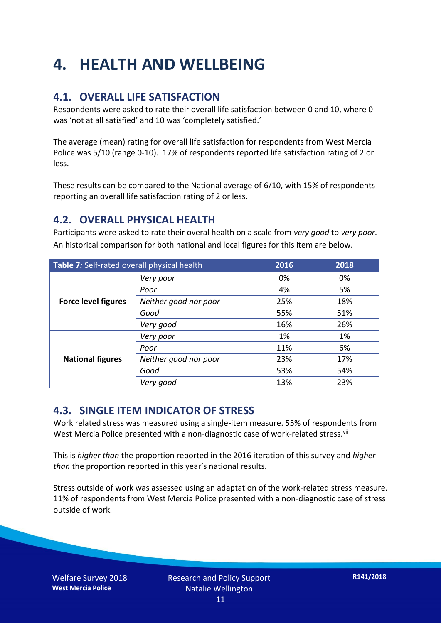## **4. HEALTH AND WELLBEING**

#### **4.1. OVERALL LIFE SATISFACTION**

Respondents were asked to rate their overall life satisfaction between 0 and 10, where 0 was 'not at all satisfied' and 10 was 'completely satisfied.'

The average (mean) rating for overall life satisfaction for respondents from West Mercia Police was 5/10 (range 0-10). 17% of respondents reported life satisfaction rating of 2 or less.

These results can be compared to the National average of 6/10, with 15% of respondents reporting an overall life satisfaction rating of 2 or less.

#### **4.2. OVERALL PHYSICAL HEALTH**

Participants were asked to rate their overal health on a scale from *very good* to *very poor*. An historical comparison for both national and local figures for this item are below.

| Table 7: Self-rated overall physical health |                       | 2016 | 2018 |
|---------------------------------------------|-----------------------|------|------|
|                                             | Very poor             | 0%   | 0%   |
|                                             | Poor                  | 4%   | 5%   |
| <b>Force level figures</b>                  | Neither good nor poor | 25%  | 18%  |
|                                             | Good                  | 55%  | 51%  |
|                                             | Very good             | 16%  | 26%  |
| <b>National figures</b>                     | Very poor             | 1%   | 1%   |
|                                             | Poor                  | 11%  | 6%   |
|                                             | Neither good nor poor | 23%  | 17%  |
|                                             | Good                  | 53%  | 54%  |
|                                             | Very good             | 13%  | 23%  |

#### **4.3. SINGLE ITEM INDICATOR OF STRESS**

Work related stress was measured using a single-item measure. 55% of respondents from West Mercia Police presented with a non-diagnostic case of work-related stress.<sup>vii</sup>

This is *higher than* the proportion reported in the 2016 iteration of this survey and *higher than* the proportion reported in this year's national results.

Stress outside of work was assessed using an adaptation of the work-related stress measure. 11% of respondents from West Mercia Police presented with a non-diagnostic case of stress outside of work.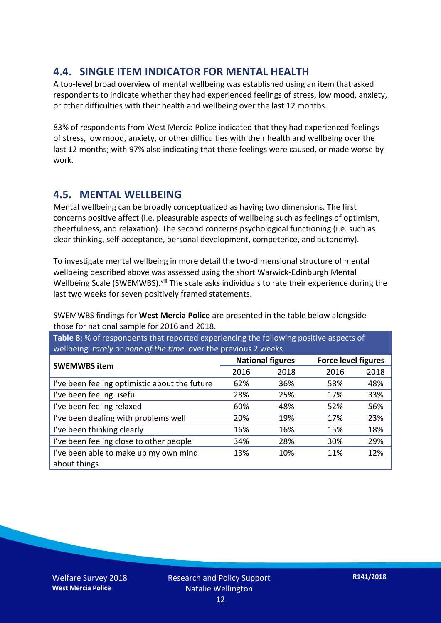#### **4.4. SINGLE ITEM INDICATOR FOR MENTAL HEALTH**

A top-level broad overview of mental wellbeing was established using an item that asked respondents to indicate whether they had experienced feelings of stress, low mood, anxiety, or other difficulties with their health and wellbeing over the last 12 months.

83% of respondents from West Mercia Police indicated that they had experienced feelings of stress, low mood, anxiety, or other difficulties with their health and wellbeing over the last 12 months; with 97% also indicating that these feelings were caused, or made worse by work.

#### **4.5. MENTAL WELLBEING**

Mental wellbeing can be broadly conceptualized as having two dimensions. The first concerns positive affect (i.e. pleasurable aspects of wellbeing such as feelings of optimism, cheerfulness, and relaxation). The second concerns psychological functioning (i.e. such as clear thinking, self-acceptance, personal development, competence, and autonomy).

To investigate mental wellbeing in more detail the two-dimensional structure of mental wellbeing described above was assessed using the short Warwick-Edinburgh Mental Wellbeing Scale (SWEMWBS). viii The scale asks individuals to rate their experience during the last two weeks for seven positively framed statements.

SWEMWBS findings for **West Mercia Police** are presented in the table below alongside those for national sample for 2016 and 2018.

**Table 8**: % of respondents that reported experiencing the following positive aspects of wellbeing *rarely* or *none of the time* over the previous 2 weeks

|                                               | <b>National figures</b> |      | <b>Force level figures</b> |      |
|-----------------------------------------------|-------------------------|------|----------------------------|------|
| <b>SWEMWBS item</b>                           |                         |      |                            |      |
|                                               | 2016                    | 2018 | 2016                       | 2018 |
| I've been feeling optimistic about the future | 62%                     | 36%  | 58%                        | 48%  |
| I've been feeling useful                      | 28%                     | 25%  | 17%                        | 33%  |
| I've been feeling relaxed                     | 60%                     | 48%  | 52%                        | 56%  |
| I've been dealing with problems well          | 20%                     | 19%  | 17%                        | 23%  |
| I've been thinking clearly                    | 16%                     | 16%  | 15%                        | 18%  |
| I've been feeling close to other people       | 34%                     | 28%  | 30%                        | 29%  |
| I've been able to make up my own mind         | 13%                     | 10%  | 11%                        | 12%  |
| about things                                  |                         |      |                            |      |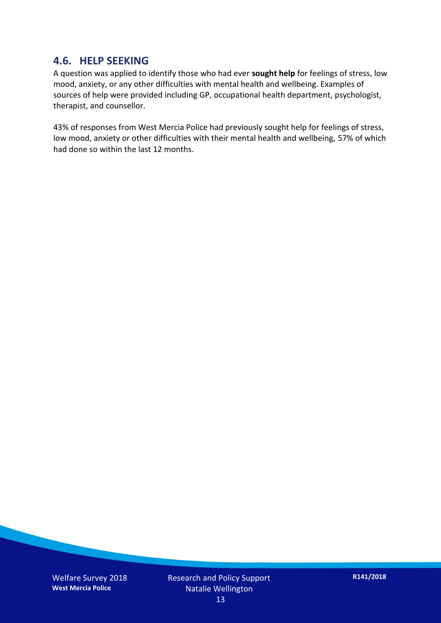#### **4.6. HELP SEEKING**

A question was applied to identify those who had ever **sought help** for feelings of stress, low mood, anxiety, or any other difficulties with mental health and wellbeing. Examples of sources of help were provided including GP, occupational health department, psychologist, therapist, and counsellor.

43% of responses from West Mercia Police had previously sought help for feelings of stress, low mood, anxiety or other difficulties with their mental health and wellbeing, 57% of which had done so within the last 12 months.

Welfare Survey 2018 **West Mercia Police**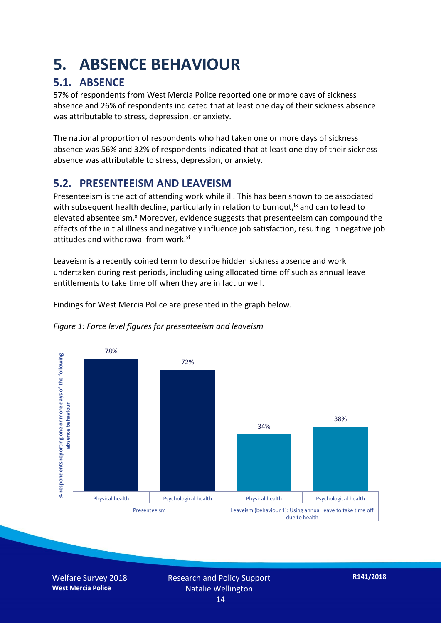### **5. ABSENCE BEHAVIOUR**

#### **5.1. ABSENCE**

57% of respondents from West Mercia Police reported one or more days of sickness absence and 26% of respondents indicated that at least one day of their sickness absence was attributable to stress, depression, or anxiety.

The national proportion of respondents who had taken one or more days of sickness absence was 56% and 32% of respondents indicated that at least one day of their sickness absence was attributable to stress, depression, or anxiety.

#### **5.2. PRESENTEEISM AND LEAVEISM**

Presenteeism is the act of attending work while ill. This has been shown to be associated with subsequent health decline, particularly in relation to burnout,  $\alpha$  and can to lead to elevated absenteeism.<sup>x</sup> Moreover, evidence suggests that presenteeism can compound the effects of the initial illness and negatively influence job satisfaction, resulting in negative job attitudes and withdrawal from work.<sup>xi</sup>

Leaveism is a recently coined term to describe hidden sickness absence and work undertaken during rest periods, including using allocated time off such as annual leave entitlements to take time off when they are in fact unwell.

Findings for West Mercia Police are presented in the graph below.



*Figure 1: Force level figures for presenteeism and leaveism*

Welfare Survey 2018 **West Mercia Police**

Research and Policy Support Natalie Wellington 14

**R141/2018**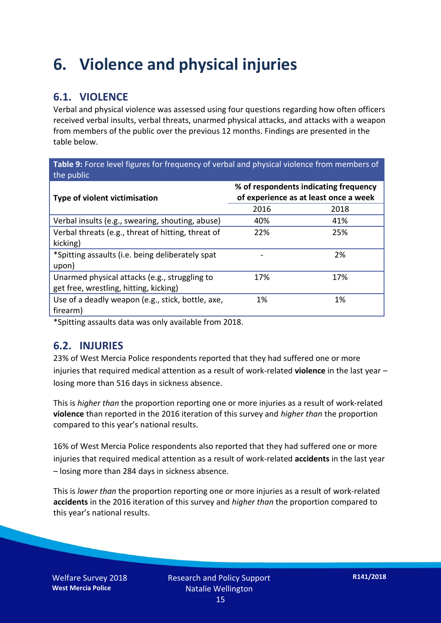### **6. Violence and physical injuries**

#### **6.1. VIOLENCE**

Verbal and physical violence was assessed using four questions regarding how often officers received verbal insults, verbal threats, unarmed physical attacks, and attacks with a weapon from members of the public over the previous 12 months. Findings are presented in the table below.

**Table 9:** Force level figures for frequency of verbal and physical violence from members of the public

| <b>Type of violent victimisation</b>               | % of respondents indicating frequency<br>of experience as at least once a week |      |  |
|----------------------------------------------------|--------------------------------------------------------------------------------|------|--|
|                                                    | 2016                                                                           | 2018 |  |
| Verbal insults (e.g., swearing, shouting, abuse)   | 40%                                                                            | 41%  |  |
| Verbal threats (e.g., threat of hitting, threat of | 22%                                                                            | 25%  |  |
| kicking)                                           |                                                                                |      |  |
| *Spitting assaults (i.e. being deliberately spat   |                                                                                | 2%   |  |
| upon)                                              |                                                                                |      |  |
| Unarmed physical attacks (e.g., struggling to      | 17%                                                                            | 17%  |  |
| get free, wrestling, hitting, kicking)             |                                                                                |      |  |
| Use of a deadly weapon (e.g., stick, bottle, axe,  | 1%                                                                             | 1%   |  |
| firearm)                                           |                                                                                |      |  |

\*Spitting assaults data was only available from 2018.

#### **6.2. INJURIES**

23% of West Mercia Police respondents reported that they had suffered one or more injuries that required medical attention as a result of work-related **violence** in the last year – losing more than 516 days in sickness absence.

This is *higher than* the proportion reporting one or more injuries as a result of work-related **violence** than reported in the 2016 iteration of this survey and *higher than* the proportion compared to this year's national results.

16% of West Mercia Police respondents also reported that they had suffered one or more injuries that required medical attention as a result of work-related **accidents** in the last year – losing more than 284 days in sickness absence.

This is *lower than* the proportion reporting one or more injuries as a result of work-related **accidents** in the 2016 iteration of this survey and *higher than* the proportion compared to this year's national results.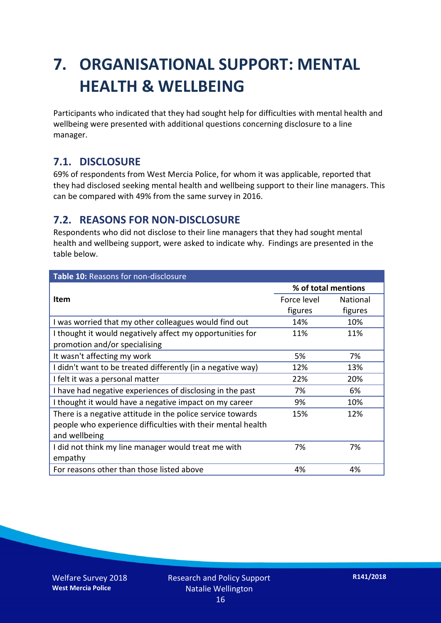## **7. ORGANISATIONAL SUPPORT: MENTAL HEALTH & WELLBEING**

Participants who indicated that they had sought help for difficulties with mental health and wellbeing were presented with additional questions concerning disclosure to a line manager.

#### **7.1. DISCLOSURE**

69% of respondents from West Mercia Police, for whom it was applicable, reported that they had disclosed seeking mental health and wellbeing support to their line managers. This can be compared with 49% from the same survey in 2016.

#### **7.2. REASONS FOR NON-DISCLOSURE**

Respondents who did not disclose to their line managers that they had sought mental health and wellbeing support, were asked to indicate why. Findings are presented in the table below.

| Table 10: Reasons for non-disclosure                        |                     |          |  |
|-------------------------------------------------------------|---------------------|----------|--|
|                                                             | % of total mentions |          |  |
| <b>Item</b>                                                 | Force level         | National |  |
|                                                             | figures             | figures  |  |
| I was worried that my other colleagues would find out       | 14%                 | 10%      |  |
| I thought it would negatively affect my opportunities for   | 11%                 | 11%      |  |
| promotion and/or specialising                               |                     |          |  |
| It wasn't affecting my work                                 | 5%                  | 7%       |  |
| I didn't want to be treated differently (in a negative way) | 12%                 | 13%      |  |
| I felt it was a personal matter                             | 22%                 | 20%      |  |
| I have had negative experiences of disclosing in the past   | 7%                  | 6%       |  |
| I thought it would have a negative impact on my career      | 9%                  | 10%      |  |
| There is a negative attitude in the police service towards  | 15%                 | 12%      |  |
| people who experience difficulties with their mental health |                     |          |  |
| and wellbeing                                               |                     |          |  |
| I did not think my line manager would treat me with         | 7%                  | 7%       |  |
| empathy                                                     |                     |          |  |
| For reasons other than those listed above                   | 4%                  | 4%       |  |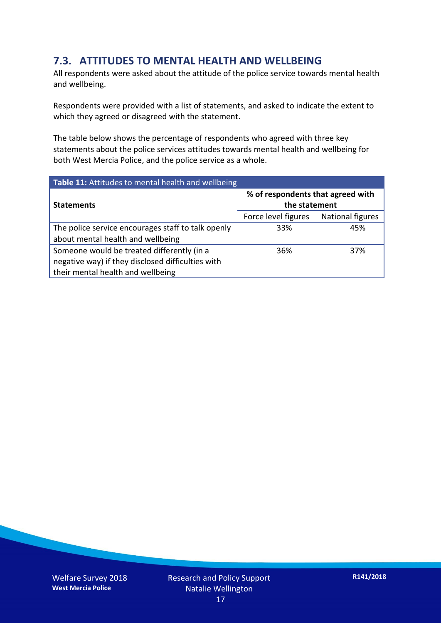#### **7.3. ATTITUDES TO MENTAL HEALTH AND WELLBEING**

All respondents were asked about the attitude of the police service towards mental health and wellbeing.

Respondents were provided with a list of statements, and asked to indicate the extent to which they agreed or disagreed with the statement.

The table below shows the percentage of respondents who agreed with three key statements about the police services attitudes towards mental health and wellbeing for both West Mercia Police, and the police service as a whole.

| Table 11: Attitudes to mental health and wellbeing |                                                    |                  |  |
|----------------------------------------------------|----------------------------------------------------|------------------|--|
| <b>Statements</b>                                  | % of respondents that agreed with<br>the statement |                  |  |
|                                                    | Force level figures                                | National figures |  |
| The police service encourages staff to talk openly | 33%                                                | 45%              |  |
| about mental health and wellbeing                  |                                                    |                  |  |
| Someone would be treated differently (in a         | 36%                                                | 37%              |  |
| negative way) if they disclosed difficulties with  |                                                    |                  |  |
| their mental health and wellbeing                  |                                                    |                  |  |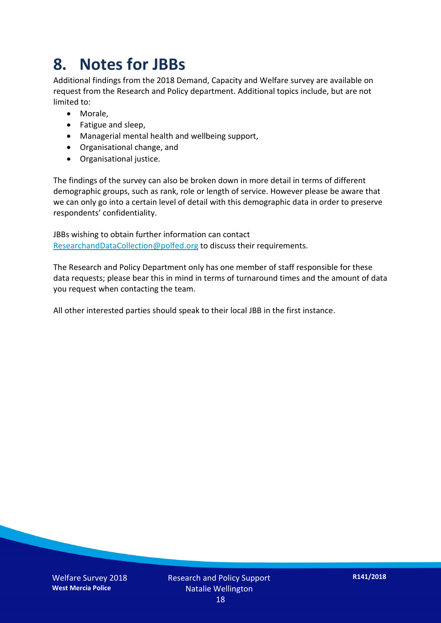### **8. Notes for JBBs**

Additional findings from the 2018 Demand, Capacity and Welfare survey are available on request from the Research and Policy department. Additional topics include, but are not limited to:

- Morale,
- Fatigue and sleep,
- Managerial mental health and wellbeing support,
- Organisational change, and
- Organisational justice.

The findings of the survey can also be broken down in more detail in terms of different demographic groups, such as rank, role or length of service. However please be aware that we can only go into a certain level of detail with this demographic data in order to preserve respondents' confidentiality.

JBBs wishing to obtain further information can contact [ResearchandDataCollection@polfed.org](mailto:ResearchandDataCollection@polfed.org) to discuss their requirements.

The Research and Policy Department only has one member of staff responsible for these data requests; please bear this in mind in terms of turnaround times and the amount of data you request when contacting the team.

All other interested parties should speak to their local JBB in the first instance.